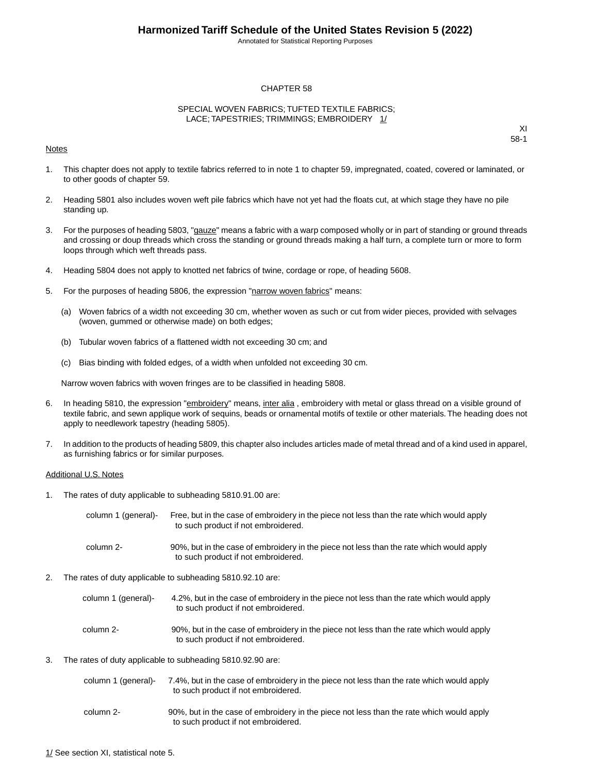Annotated for Statistical Reporting Purposes

#### CHAPTER 58

#### SPECIAL WOVEN FABRICS; TUFTED TEXTILE FABRICS; LACE; TAPESTRIES; TRIMMINGS; EMBROIDERY 1/

#### Notes

XI 58-1

- 1. This chapter does not apply to textile fabrics referred to in note 1 to chapter 59, impregnated, coated, covered or laminated, or to other goods of chapter 59.
- 2. Heading 5801 also includes woven weft pile fabrics which have not yet had the floats cut, at which stage they have no pile standing up.
- 3. For the purposes of heading 5803, "gauze" means a fabric with a warp composed wholly or in part of standing or ground threads and crossing or doup threads which cross the standing or ground threads making a half turn, a complete turn or more to form loops through which weft threads pass.
- 4. Heading 5804 does not apply to knotted net fabrics of twine, cordage or rope, of heading 5608.
- 5. For the purposes of heading 5806, the expression "narrow woven fabrics" means:
	- (a) Woven fabrics of a width not exceeding 30 cm, whether woven as such or cut from wider pieces, provided with selvages (woven, gummed or otherwise made) on both edges;
	- (b) Tubular woven fabrics of a flattened width not exceeding 30 cm; and
	- (c) Bias binding with folded edges, of a width when unfolded not exceeding 30 cm.

Narrow woven fabrics with woven fringes are to be classified in heading 5808.

- 6. In heading 5810, the expression "embroidery" means, inter alia, embroidery with metal or glass thread on a visible ground of textile fabric, and sewn applique work of sequins, beads or ornamental motifs of textile or other materials.The heading does not apply to needlework tapestry (heading 5805).
- 7. In addition to the products of heading 5809, this chapter also includes articles made of metal thread and of a kind used in apparel, as furnishing fabrics or for similar purposes.

#### Additional U.S. Notes

1. The rates of duty applicable to subheading 5810.91.00 are:

| column 1 (general)- | Free, but in the case of embroidery in the piece not less than the rate which would apply<br>to such product if not embroidered. |
|---------------------|----------------------------------------------------------------------------------------------------------------------------------|
| column 2-           | 90%, but in the case of embroidery in the piece not less than the rate which would apply<br>to such product if not embroidered.  |

- 2. The rates of duty applicable to subheading 5810.92.10 are:
	- 4.2%, but in the case of embroidery in the piece not less than the rate which would apply to such product if not embroidered. column 1 (general)- 90%, but in the case of embroidery in the piece not less than the rate which would apply to such product if not embroidered. column 2-
- 3. The rates of duty applicable to subheading 5810.92.90 are:

| column 1 (general)- | 7.4%, but in the case of embroidery in the piece not less than the rate which would apply |
|---------------------|-------------------------------------------------------------------------------------------|
|                     | to such product if not embroidered.                                                       |

90%, but in the case of embroidery in the piece not less than the rate which would apply to such product if not embroidered. column 2-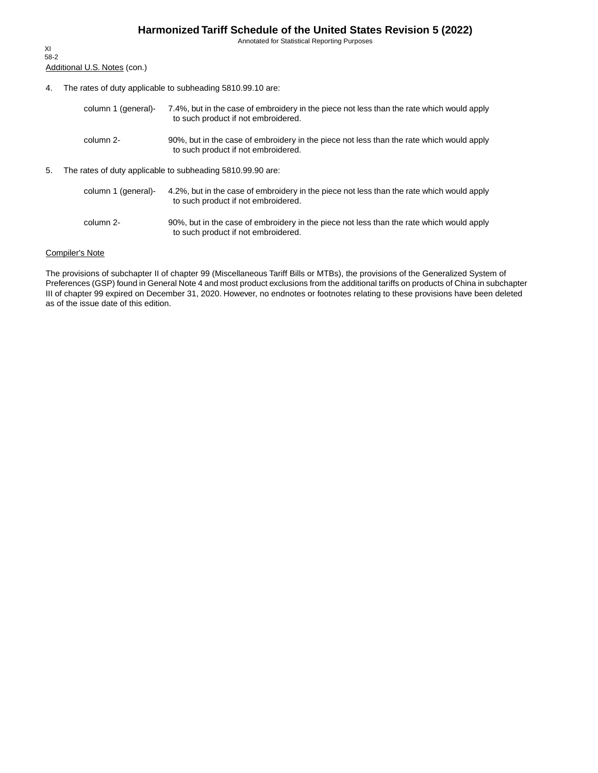Annotated for Statistical Reporting Purposes

Additional U.S. Notes (con.) XI 58-2

4. The rates of duty applicable to subheading 5810.99.10 are:

| column 1 (general)- | 7.4%, but in the case of embroidery in the piece not less than the rate which would apply<br>to such product if not embroidered. |
|---------------------|----------------------------------------------------------------------------------------------------------------------------------|
| column 2-           | 90%, but in the case of embroidery in the piece not less than the rate which would apply<br>to such product if not embroidered.  |

5. The rates of duty applicable to subheading 5810.99.90 are:

| column 1 (general)- | 4.2%, but in the case of embroidery in the piece not less than the rate which would apply<br>to such product if not embroidered. |
|---------------------|----------------------------------------------------------------------------------------------------------------------------------|
| column 2-           | 90%, but in the case of embroidery in the piece not less than the rate which would apply<br>to such product if not embroidered.  |

#### Compiler's Note

The provisions of subchapter II of chapter 99 (Miscellaneous Tariff Bills or MTBs), the provisions of the Generalized System of Preferences (GSP) found in General Note 4 and most product exclusions from the additional tariffs on products of China in subchapter III of chapter 99 expired on December 31, 2020. However, no endnotes or footnotes relating to these provisions have been deleted as of the issue date of this edition.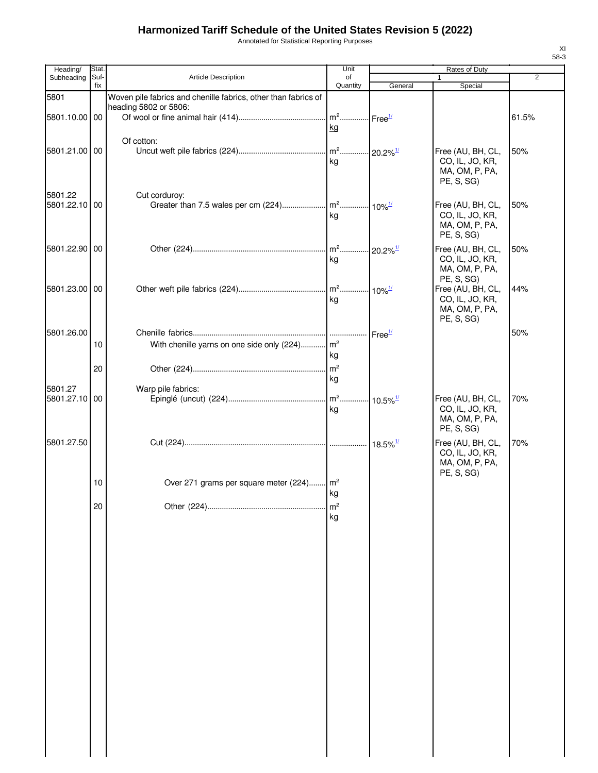Annotated for Statistical Reporting Purposes

| Heading/                 | Stat.       |                                                                | Unit           |                             | Rates of Duty                        |                |
|--------------------------|-------------|----------------------------------------------------------------|----------------|-----------------------------|--------------------------------------|----------------|
| Subheading               | Suf-<br>fix | Article Description                                            | of<br>Quantity |                             | 1                                    | $\overline{2}$ |
| 5801                     |             | Woven pile fabrics and chenille fabrics, other than fabrics of |                | General                     | Special                              |                |
|                          |             | heading 5802 or 5806:                                          |                |                             |                                      |                |
| 5801.10.00 00            |             |                                                                |                |                             |                                      | 61.5%          |
|                          |             |                                                                | kg             |                             |                                      |                |
|                          |             | Of cotton:                                                     |                |                             |                                      |                |
| 5801.21.00 00            |             |                                                                |                |                             | Free (AU, BH, CL,                    | 50%            |
|                          |             |                                                                | kg             |                             | CO, IL, JO, KR,                      |                |
|                          |             |                                                                |                |                             | MA, OM, P, PA,                       |                |
|                          |             |                                                                |                |                             | PE, S, SG)                           |                |
| 5801.22<br>5801.22.10 00 |             | Cut corduroy:                                                  |                |                             |                                      |                |
|                          |             |                                                                | kg             |                             | Free (AU, BH, CL,<br>CO, IL, JO, KR, | 50%            |
|                          |             |                                                                |                |                             | MA, OM, P, PA,                       |                |
|                          |             |                                                                |                |                             | PE, S, SG)                           |                |
| 5801.22.90 00            |             |                                                                |                | $-20.2\%$ <sup>1/</sup>     | Free (AU, BH, CL,                    | 50%            |
|                          |             |                                                                | kg             |                             | CO, IL, JO, KR,                      |                |
|                          |             |                                                                |                |                             | MA, OM, P, PA,                       |                |
|                          |             |                                                                |                |                             | PE, S, SG)                           |                |
| 5801.23.00 00            |             |                                                                | kg             |                             | Free (AU, BH, CL,<br>CO, IL, JO, KR, | 44%            |
|                          |             |                                                                |                |                             | MA, OM, P, PA,                       |                |
|                          |             |                                                                |                |                             | PE, S, SG)                           |                |
| 5801.26.00               |             |                                                                |                | Free <sup>1/</sup>          |                                      | 50%            |
|                          | 10          | With chenille yarns on one side only (224) m <sup>2</sup>      |                |                             |                                      |                |
|                          |             |                                                                | kg             |                             |                                      |                |
|                          | 20          |                                                                |                |                             |                                      |                |
|                          |             |                                                                | kg             |                             |                                      |                |
| 5801.27                  |             | Warp pile fabrics:                                             |                |                             |                                      |                |
| 5801.27.10 00            |             |                                                                |                | $10.5\%$ <sup>1/</sup>      | Free (AU, BH, CL,                    | 70%            |
|                          |             |                                                                | kg             |                             | CO, IL, JO, KR,                      |                |
|                          |             |                                                                |                |                             | MA, OM, P, PA,<br>PE, S, SG)         |                |
|                          |             |                                                                |                |                             | Free (AU, BH, CL,                    |                |
| 5801.27.50               |             |                                                                |                | $\cdot$ 18.5% $\frac{1}{2}$ | CO, IL, JO, KR,                      | 70%            |
|                          |             |                                                                |                |                             | MA, OM, P, PA,                       |                |
|                          |             |                                                                |                |                             | PE, S, SG)                           |                |
|                          | 10          | Over 271 grams per square meter (224) m <sup>2</sup>           |                |                             |                                      |                |
|                          |             |                                                                | kg             |                             |                                      |                |
|                          | 20          |                                                                | m <sup>2</sup> |                             |                                      |                |
|                          |             |                                                                | kg             |                             |                                      |                |
|                          |             |                                                                |                |                             |                                      |                |
|                          |             |                                                                |                |                             |                                      |                |
|                          |             |                                                                |                |                             |                                      |                |
|                          |             |                                                                |                |                             |                                      |                |
|                          |             |                                                                |                |                             |                                      |                |
|                          |             |                                                                |                |                             |                                      |                |
|                          |             |                                                                |                |                             |                                      |                |
|                          |             |                                                                |                |                             |                                      |                |
|                          |             |                                                                |                |                             |                                      |                |
|                          |             |                                                                |                |                             |                                      |                |
|                          |             |                                                                |                |                             |                                      |                |
|                          |             |                                                                |                |                             |                                      |                |
|                          |             |                                                                |                |                             |                                      |                |
|                          |             |                                                                |                |                             |                                      |                |
|                          |             |                                                                |                |                             |                                      |                |
|                          |             |                                                                |                |                             |                                      |                |
|                          |             |                                                                |                |                             |                                      |                |
|                          |             |                                                                |                |                             |                                      |                |
|                          |             |                                                                |                |                             |                                      |                |
|                          |             |                                                                |                |                             |                                      |                |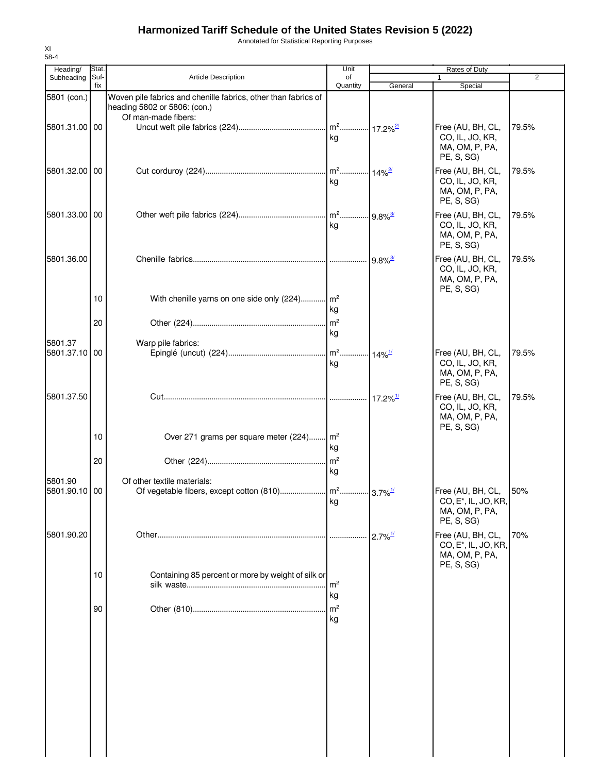Annotated for Statistical Reporting Purposes

| Heading/                 | Stat.       |                                                                                                                       | Unit                 |                          | Rates of Duty                                                                         |                |
|--------------------------|-------------|-----------------------------------------------------------------------------------------------------------------------|----------------------|--------------------------|---------------------------------------------------------------------------------------|----------------|
| Subheading               | Suf-<br>fix | <b>Article Description</b>                                                                                            | of<br>Quantity       | General                  | 1<br>Special                                                                          | $\overline{2}$ |
| 5801 (con.)              |             | Woven pile fabrics and chenille fabrics, other than fabrics of<br>heading 5802 or 5806: (con.)<br>Of man-made fibers: |                      |                          |                                                                                       |                |
| 5801.31.00 00            |             |                                                                                                                       | ka                   |                          | Free (AU, BH, CL,<br>CO, IL, JO, KR,<br>MA, OM, P, PA,<br>PE, S, SG)                  | 79.5%          |
| 5801.32.00 00            |             |                                                                                                                       | kg                   |                          | Free (AU, BH, CL,<br>CO, IL, JO, KR,<br>MA, OM, P, PA,<br>PE, S, SG)                  | 79.5%          |
| 5801.33.00 00            |             |                                                                                                                       | kg                   |                          | Free (AU, BH, CL,<br>CO, IL, JO, KR,<br>MA, OM, P, PA,<br>PE, S, SG)                  | 79.5%          |
| 5801.36.00               |             |                                                                                                                       |                      | $.  9.8\%$ <sup>3/</sup> | Free (AU, BH, CL,<br>CO, IL, JO, KR,<br>MA, OM, P, PA,<br>PE, S, SG)                  | 79.5%          |
|                          | 10<br>20    | With chenille yarns on one side only (224) m <sup>2</sup>                                                             | kg                   |                          |                                                                                       |                |
| 5801.37<br>5801.37.10 00 |             | Warp pile fabrics:                                                                                                    | kg<br>kg             |                          | Free (AU, BH, CL,<br>CO, IL, JO, KR,<br>MA, OM, P, PA,                                | 79.5%          |
| 5801.37.50               |             |                                                                                                                       |                      | $17.2\%$ <sup>1/</sup>   | PE, S, SG)<br>Free (AU, BH, CL,<br>CO, IL, JO, KR,<br>MA, OM, P, PA,                  | 79.5%          |
|                          | 10          | Over 271 grams per square meter (224) m <sup>2</sup>                                                                  | kg                   |                          | PE, S, SG)                                                                            |                |
| 5801.90                  | 20          | Of other textile materials:                                                                                           | kg                   |                          |                                                                                       |                |
| 5801.90.10 00            |             |                                                                                                                       | kg                   |                          | Free (AU, BH, CL,<br>CO, E <sup>*</sup> , IL, JO, KR,<br>MA, OM, P, PA,<br>PE, S, SG) | 50%            |
| 5801.90.20               |             |                                                                                                                       |                      | $2.7\%$ <sup>1/</sup>    | Free (AU, BH, CL,<br>CO, E <sup>*</sup> , IL, JO, KR,<br>MA, OM, P, PA,<br>PE, S, SG) | 70%            |
|                          | 10          | Containing 85 percent or more by weight of silk or                                                                    | m <sup>2</sup><br>kg |                          |                                                                                       |                |
|                          | 90          |                                                                                                                       | m <sup>2</sup><br>kg |                          |                                                                                       |                |
|                          |             |                                                                                                                       |                      |                          |                                                                                       |                |
|                          |             |                                                                                                                       |                      |                          |                                                                                       |                |
|                          |             |                                                                                                                       |                      |                          |                                                                                       |                |
|                          |             |                                                                                                                       |                      |                          |                                                                                       |                |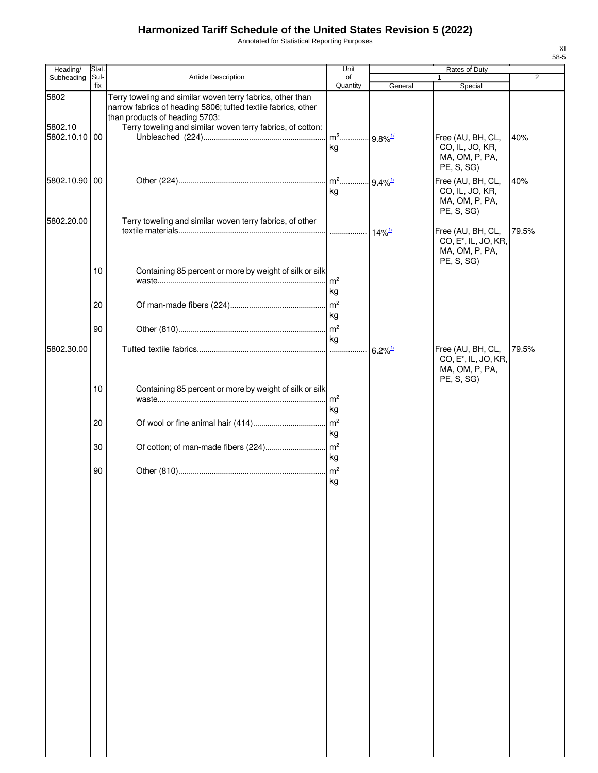Annotated for Statistical Reporting Purposes

| Heading/        | Stat.       |                                                                                                                                                                                                                             | Unit                                    |                           | Rates of Duty                                                                         |                |
|-----------------|-------------|-----------------------------------------------------------------------------------------------------------------------------------------------------------------------------------------------------------------------------|-----------------------------------------|---------------------------|---------------------------------------------------------------------------------------|----------------|
| Subheading      | Suf-<br>fix | <b>Article Description</b>                                                                                                                                                                                                  | of<br>Quantity                          | General                   | Special                                                                               | $\overline{2}$ |
| 5802<br>5802.10 |             | Terry toweling and similar woven terry fabrics, other than<br>narrow fabrics of heading 5806; tufted textile fabrics, other<br>than products of heading 5703:<br>Terry toweling and similar woven terry fabrics, of cotton: |                                         |                           |                                                                                       |                |
| 5802.10.10 00   |             |                                                                                                                                                                                                                             | m <sup>2</sup> 9.8% <sup>1/</sup><br>kg |                           | Free (AU, BH, CL,<br>CO, IL, JO, KR,<br>MA, OM, P, PA,<br>PE, S, SG)                  | 40%            |
| 5802.10.90 00   |             |                                                                                                                                                                                                                             | m <sup>2</sup> 9.4% <sup>1/</sup><br>kg |                           | Free (AU, BH, CL,<br>CO, IL, JO, KR,<br>MA, OM, P, PA,<br>PE, S, SG)                  | 40%            |
| 5802.20.00      |             | Terry toweling and similar woven terry fabrics, of other                                                                                                                                                                    |                                         | $\cdot$ 14% $\frac{1}{2}$ | Free (AU, BH, CL,<br>CO, E <sup>*</sup> , IL, JO, KR,<br>MA, OM, P, PA,<br>PE, S, SG) | 79.5%          |
|                 | 10          | Containing 85 percent or more by weight of silk or silk                                                                                                                                                                     | m <sup>2</sup><br>kg                    |                           |                                                                                       |                |
|                 | 20<br>90    |                                                                                                                                                                                                                             | m <sup>2</sup><br>kg<br>m <sup>2</sup>  |                           |                                                                                       |                |
| 5802.30.00      |             |                                                                                                                                                                                                                             | kg<br>.                                 | $6.2\%$ <sup>1/</sup>     | Free (AU, BH, CL,<br>CO, E <sup>*</sup> , IL, JO, KR,<br>MA, OM, P, PA,               | 79.5%          |
|                 | 10          | Containing 85 percent or more by weight of silk or silk                                                                                                                                                                     | m <sup>2</sup><br>kg                    |                           | PE, S, SG)                                                                            |                |
|                 | 20          |                                                                                                                                                                                                                             | m <sup>2</sup><br>kg                    |                           |                                                                                       |                |
|                 | 30<br>90    |                                                                                                                                                                                                                             | kg<br>$\mathsf{Im}^2$                   |                           |                                                                                       |                |
|                 |             |                                                                                                                                                                                                                             | kg                                      |                           |                                                                                       |                |
|                 |             |                                                                                                                                                                                                                             |                                         |                           |                                                                                       |                |
|                 |             |                                                                                                                                                                                                                             |                                         |                           |                                                                                       |                |
|                 |             |                                                                                                                                                                                                                             |                                         |                           |                                                                                       |                |
|                 |             |                                                                                                                                                                                                                             |                                         |                           |                                                                                       |                |
|                 |             |                                                                                                                                                                                                                             |                                         |                           |                                                                                       |                |
|                 |             |                                                                                                                                                                                                                             |                                         |                           |                                                                                       |                |
|                 |             |                                                                                                                                                                                                                             |                                         |                           |                                                                                       |                |
|                 |             |                                                                                                                                                                                                                             |                                         |                           |                                                                                       |                |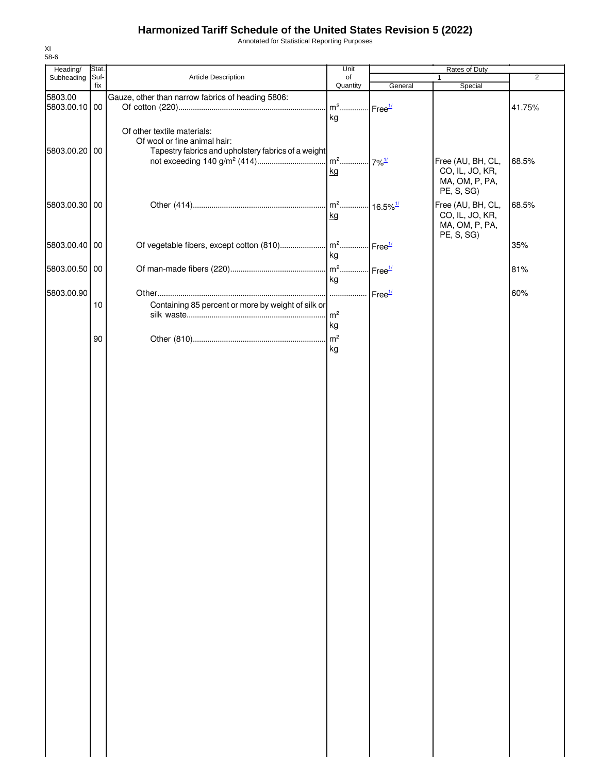Annotated for Statistical Reporting Purposes

| Heading/      | Stat. |                                                     | Unit                               |                    | Rates of Duty     |                |
|---------------|-------|-----------------------------------------------------|------------------------------------|--------------------|-------------------|----------------|
| Subheading    | Suf-  | Article Description                                 | of                                 |                    | 1                 | $\overline{2}$ |
|               | fix   |                                                     | Quantity                           | General            | Special           |                |
| 5803.00       |       | Gauze, other than narrow fabrics of heading 5806:   |                                    |                    |                   |                |
| 5803.00.10 00 |       |                                                     | m <sup>2</sup> Free <sup>1/</sup>  |                    |                   | 41.75%         |
|               |       |                                                     | kg                                 |                    |                   |                |
|               |       | Of other textile materials:                         |                                    |                    |                   |                |
|               |       | Of wool or fine animal hair:                        |                                    |                    |                   |                |
| 5803.00.20 00 |       | Tapestry fabrics and upholstery fabrics of a weight |                                    |                    |                   |                |
|               |       |                                                     | m <sup>2</sup> 7% <sup>1/</sup>    |                    | Free (AU, BH, CL, | 68.5%          |
|               |       |                                                     | kg                                 |                    | CO, IL, JO, KR,   |                |
|               |       |                                                     |                                    |                    | MA, OM, P, PA,    |                |
|               |       |                                                     |                                    |                    | PE, S, SG)        |                |
| 5803.00.30 00 |       |                                                     | m <sup>2</sup> 16.5% <sup>1/</sup> |                    | Free (AU, BH, CL, | 68.5%          |
|               |       |                                                     | kg                                 |                    | CO, IL, JO, KR,   |                |
|               |       |                                                     |                                    |                    | MA, OM, P, PA,    |                |
|               |       |                                                     |                                    |                    | PE, S, SG)        |                |
| 5803.00.40 00 |       | Of vegetable fibers, except cotton (810)            | $\mathsf{m}^2$ .                   | Free <sup>1/</sup> |                   | 35%            |
|               |       |                                                     | kg                                 |                    |                   |                |
| 5803.00.50 00 |       |                                                     | m <sup>2</sup> Free <sup>1/</sup>  |                    |                   | 81%            |
|               |       |                                                     | kg                                 |                    |                   |                |
| 5803.00.90    |       |                                                     |                                    |                    |                   |                |
|               |       |                                                     | .                                  | Free <sup>1/</sup> |                   | 60%            |
|               | 10    | Containing 85 percent or more by weight of silk or  |                                    |                    |                   |                |
|               |       |                                                     | m <sup>2</sup>                     |                    |                   |                |
|               |       |                                                     | kg                                 |                    |                   |                |
|               | 90    |                                                     | m <sup>2</sup>                     |                    |                   |                |
|               |       |                                                     | kg                                 |                    |                   |                |
|               |       |                                                     |                                    |                    |                   |                |
|               |       |                                                     |                                    |                    |                   |                |
|               |       |                                                     |                                    |                    |                   |                |
|               |       |                                                     |                                    |                    |                   |                |
|               |       |                                                     |                                    |                    |                   |                |
|               |       |                                                     |                                    |                    |                   |                |
|               |       |                                                     |                                    |                    |                   |                |
|               |       |                                                     |                                    |                    |                   |                |
|               |       |                                                     |                                    |                    |                   |                |
|               |       |                                                     |                                    |                    |                   |                |
|               |       |                                                     |                                    |                    |                   |                |
|               |       |                                                     |                                    |                    |                   |                |
|               |       |                                                     |                                    |                    |                   |                |
|               |       |                                                     |                                    |                    |                   |                |
|               |       |                                                     |                                    |                    |                   |                |
|               |       |                                                     |                                    |                    |                   |                |
|               |       |                                                     |                                    |                    |                   |                |
|               |       |                                                     |                                    |                    |                   |                |
|               |       |                                                     |                                    |                    |                   |                |
|               |       |                                                     |                                    |                    |                   |                |
|               |       |                                                     |                                    |                    |                   |                |
|               |       |                                                     |                                    |                    |                   |                |
|               |       |                                                     |                                    |                    |                   |                |
|               |       |                                                     |                                    |                    |                   |                |
|               |       |                                                     |                                    |                    |                   |                |
|               |       |                                                     |                                    |                    |                   |                |
|               |       |                                                     |                                    |                    |                   |                |
|               |       |                                                     |                                    |                    |                   |                |
|               |       |                                                     |                                    |                    |                   |                |
|               |       |                                                     |                                    |                    |                   |                |
|               |       |                                                     |                                    |                    |                   |                |
|               |       |                                                     |                                    |                    |                   |                |
|               |       |                                                     |                                    |                    |                   |                |
|               |       |                                                     |                                    |                    |                   |                |
|               |       |                                                     |                                    |                    |                   |                |
|               |       |                                                     |                                    |                    |                   |                |
|               |       |                                                     |                                    |                    |                   |                |
|               |       |                                                     |                                    |                    |                   |                |
|               |       |                                                     |                                    |                    |                   |                |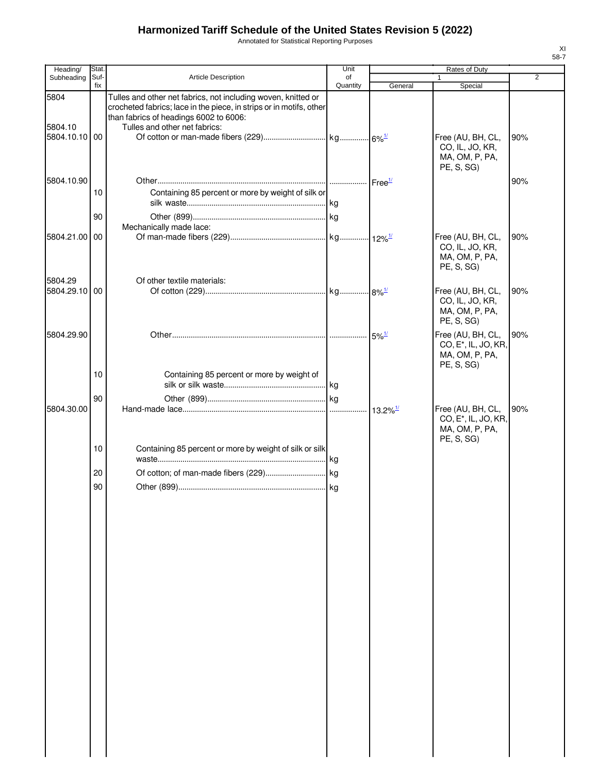Annotated for Statistical Reporting Purposes

| Heading/                         | Stat.       |                                                                                                                                                                                                                 | Unit           |                        | Rates of Duty                                                                         |     |
|----------------------------------|-------------|-----------------------------------------------------------------------------------------------------------------------------------------------------------------------------------------------------------------|----------------|------------------------|---------------------------------------------------------------------------------------|-----|
| Subheading                       | Suf-<br>fix | <b>Article Description</b>                                                                                                                                                                                      | of<br>Quantity | General                | $\mathbf{1}$<br>Special                                                               | 2   |
| 5804<br>5804.10<br>5804.10.10 00 |             | Tulles and other net fabrics, not including woven, knitted or<br>crocheted fabrics; lace in the piece, in strips or in motifs, other<br>than fabrics of headings 6002 to 6006:<br>Tulles and other net fabrics: |                |                        | Free (AU, BH, CL,<br>CO, IL, JO, KR,<br>MA, OM, P, PA,                                | 90% |
| 5804.10.90                       | 10          | Containing 85 percent or more by weight of silk or                                                                                                                                                              |                |                        | PE, S, SG)                                                                            | 90% |
|                                  | 90          |                                                                                                                                                                                                                 |                |                        |                                                                                       |     |
| 5804.21.00 00                    |             | Mechanically made lace:                                                                                                                                                                                         |                |                        | Free (AU, BH, CL,<br>CO, IL, JO, KR,<br>MA, OM, P, PA,<br>PE, S, SG)                  | 90% |
| 5804.29<br>5804.29.10 00         |             | Of other textile materials:                                                                                                                                                                                     |                |                        | Free (AU, BH, CL,<br>CO, IL, JO, KR,<br>MA, OM, P, PA,<br>PE, S, SG)                  | 90% |
| 5804.29.90                       |             |                                                                                                                                                                                                                 |                |                        | Free (AU, BH, CL,<br>CO, E <sup>*</sup> , IL, JO, KR,<br>MA, OM, P, PA,<br>PE, S, SG) | 90% |
|                                  | 10          | Containing 85 percent or more by weight of                                                                                                                                                                      |                |                        |                                                                                       |     |
| 5804.30.00                       | 90          |                                                                                                                                                                                                                 |                | $13.2\%$ <sup>1/</sup> | Free (AU, BH, CL,<br>CO, E <sup>*</sup> , IL, JO, KR,<br>MA, OM, P, PA,               | 90% |
|                                  | 10          | Containing 85 percent or more by weight of silk or silk                                                                                                                                                         |                |                        | PE, S, SG)                                                                            |     |
|                                  | 20          |                                                                                                                                                                                                                 |                |                        |                                                                                       |     |
|                                  | 90          |                                                                                                                                                                                                                 |                |                        |                                                                                       |     |
|                                  |             |                                                                                                                                                                                                                 |                |                        |                                                                                       |     |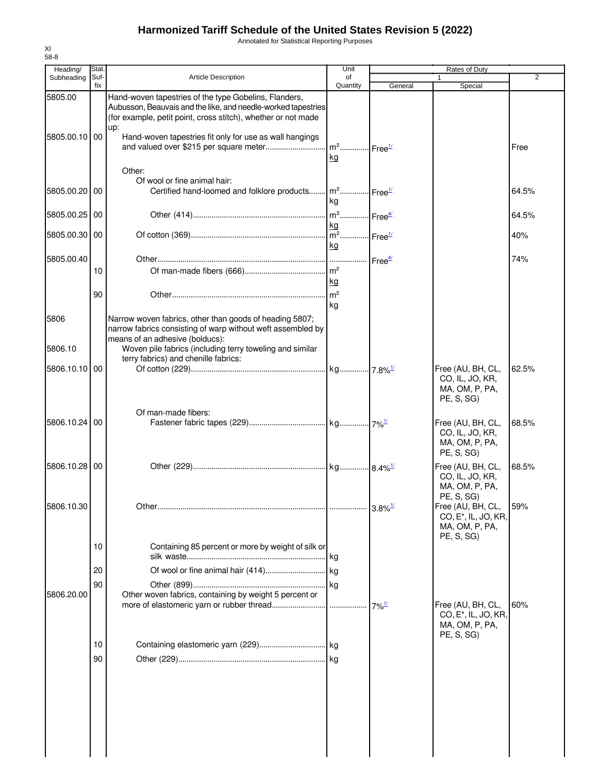Annotated for Statistical Reporting Purposes

| Heading/                 | Stat.       |                                                                                                                                                                                                                                                           | Unit                                               |                     | Rates of Duty                                                                         |       |
|--------------------------|-------------|-----------------------------------------------------------------------------------------------------------------------------------------------------------------------------------------------------------------------------------------------------------|----------------------------------------------------|---------------------|---------------------------------------------------------------------------------------|-------|
| Subheading               | Suf-<br>fix | <b>Article Description</b>                                                                                                                                                                                                                                | of<br>Quantity                                     | General             | 1<br>Special                                                                          | 2     |
| 5805.00<br>5805.00.10 00 |             | Hand-woven tapestries of the type Gobelins, Flanders,<br>Aubusson, Beauvais and the like, and needle-worked tapestries<br>(for example, petit point, cross stitch), whether or not made<br>up:<br>Hand-woven tapestries fit only for use as wall hangings | m <sup>2</sup> Free <sup>1/</sup><br><u>kg</u>     |                     |                                                                                       | Free  |
| 5805.00.20 00            |             | Other:<br>Of wool or fine animal hair:<br>Certified hand-loomed and folklore products                                                                                                                                                                     | m <sup>2</sup> Free <sup>1/</sup><br>kg            |                     |                                                                                       | 64.5% |
| 5805.00.25 00            |             |                                                                                                                                                                                                                                                           | m <sup>2</sup> Free <sup>4/</sup>                  |                     |                                                                                       | 64.5% |
| 5805.00.30 00            |             |                                                                                                                                                                                                                                                           | kg<br>m <sup>2</sup> Free <sup>1/</sup><br>kg      |                     |                                                                                       | 40%   |
| 5805.00.40               | 10<br>90    |                                                                                                                                                                                                                                                           | .<br>$\mathsf{m}^2$<br><u>kg</u><br>m <sup>2</sup> | Free <sup>4/</sup>  |                                                                                       | 74%   |
| 5806<br>5806.10          |             | Narrow woven fabrics, other than goods of heading 5807;<br>narrow fabrics consisting of warp without weft assembled by<br>means of an adhesive (bolducs):<br>Woven pile fabrics (including terry toweling and similar                                     | kg                                                 |                     |                                                                                       |       |
| 5806.10.10               | 00          | terry fabrics) and chenille fabrics:                                                                                                                                                                                                                      |                                                    |                     | Free (AU, BH, CL,<br>CO, IL, JO, KR,<br>MA, OM, P, PA,<br>PE, S, SG                   | 62.5% |
| 5806.10.24               | 00          | Of man-made fibers:                                                                                                                                                                                                                                       |                                                    |                     | Free (AU, BH, CL,<br>CO, IL, JO, KR,<br>MA, OM, P, PA,<br>PE, S, SG)                  | 68.5% |
| 5806.10.28 00            |             |                                                                                                                                                                                                                                                           |                                                    |                     | Free (AU, BH, CL,<br>CO, IL, JO, KR,<br>MA, OM, P, PA,                                | 68.5% |
| 5806.10.30               |             |                                                                                                                                                                                                                                                           |                                                    |                     | PE, S, SG)<br>Free (AU, BH, CL,<br>CO, E <sup>*</sup> , IL, JO, KR,<br>MA, OM, P, PA, | 59%   |
|                          | 10          | Containing 85 percent or more by weight of silk or                                                                                                                                                                                                        | lkg.                                               |                     | PE, S, SG)                                                                            |       |
| 5806.20.00               | 20<br>90    | Other woven fabrics, containing by weight 5 percent or                                                                                                                                                                                                    |                                                    | $7\%$ <sup>1/</sup> | Free (AU, BH, CL,<br>CO, E <sup>*</sup> , IL, JO, KR,                                 | 60%   |
|                          | 10<br>90    |                                                                                                                                                                                                                                                           |                                                    |                     | MA, OM, P, PA,<br>PE, S, SG)                                                          |       |
|                          |             |                                                                                                                                                                                                                                                           |                                                    |                     |                                                                                       |       |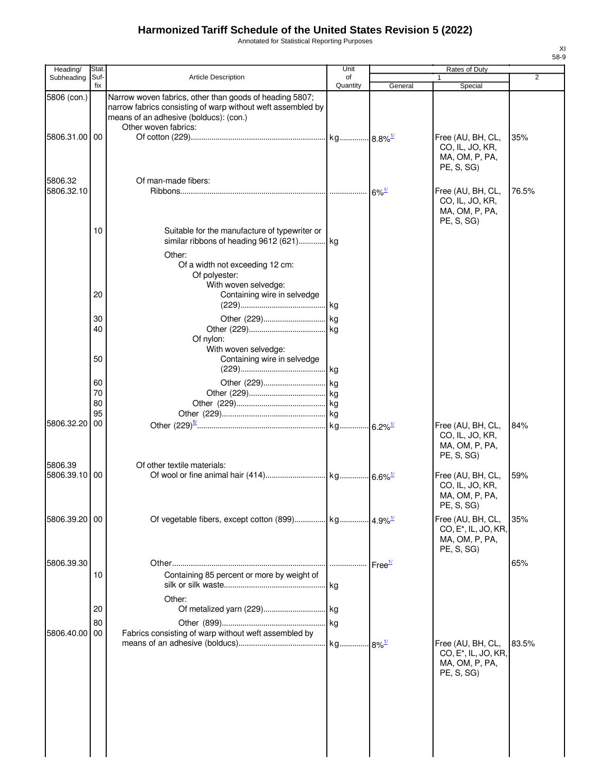Annotated for Statistical Reporting Purposes

| Heading/                     | Stat.                |                                                                                                                                                                                          | Unit           |                     | Rates of Duty                                                                         |       |
|------------------------------|----------------------|------------------------------------------------------------------------------------------------------------------------------------------------------------------------------------------|----------------|---------------------|---------------------------------------------------------------------------------------|-------|
| Subheading                   | Suf-<br>fix          | Article Description                                                                                                                                                                      | of<br>Quantity | General             | 1<br>Special                                                                          | 2     |
| 5806 (con.)<br>5806.31.00 00 |                      | Narrow woven fabrics, other than goods of heading 5807;<br>narrow fabrics consisting of warp without weft assembled by<br>means of an adhesive (bolducs): (con.)<br>Other woven fabrics: |                |                     | Free (AU, BH, CL,                                                                     | 35%   |
| 5806.32                      |                      | Of man-made fibers:                                                                                                                                                                      |                |                     | CO, IL, JO, KR,<br>MA, OM, P, PA,<br>PE, S, SG)                                       |       |
| 5806.32.10                   |                      |                                                                                                                                                                                          |                | $6\%$ <sup>1/</sup> | Free (AU, BH, CL,<br>CO, IL, JO, KR,<br>MA, OM, P, PA,<br>PE, S, SG)                  | 76.5% |
|                              | 10                   | Suitable for the manufacture of typewriter or<br>similar ribbons of heading 9612 (621) kg<br>Other:<br>Of a width not exceeding 12 cm:<br>Of polyester:<br>With woven selvedge:          |                |                     |                                                                                       |       |
|                              | 20                   | Containing wire in selvedge                                                                                                                                                              |                |                     |                                                                                       |       |
|                              | 30<br>40             | Of nylon:<br>With woven selvedge:                                                                                                                                                        |                |                     |                                                                                       |       |
|                              | 50                   | Containing wire in selvedge                                                                                                                                                              |                |                     |                                                                                       |       |
|                              | 60<br>70<br>80<br>95 |                                                                                                                                                                                          |                |                     |                                                                                       |       |
| 5806.32.20                   | 00                   |                                                                                                                                                                                          |                |                     | Free (AU, BH, CL,<br>CO, IL, JO, KR,<br>MA, OM, P, PA,<br>PE, S, SG)                  | 84%   |
| 5806.39<br>5806.39.10        | 00                   | Of other textile materials:                                                                                                                                                              |                |                     | Free (AU, BH, CL,<br>CO, IL, JO, KR,<br>MA, OM, P, PA,<br>PE, S, SG)                  | 59%   |
| 5806.39.20 00                |                      |                                                                                                                                                                                          |                |                     | Free (AU, BH, CL,<br>CO, E <sup>*</sup> , IL, JO, KR,<br>MA, OM, P, PA,<br>PE, S, SG) | 35%   |
| 5806.39.30                   | 10                   | Containing 85 percent or more by weight of                                                                                                                                               |                | Free <sup>1/</sup>  |                                                                                       | 65%   |
|                              | 20<br>80             | Other:                                                                                                                                                                                   |                |                     |                                                                                       |       |
| 5806.40.00                   | 00                   | Fabrics consisting of warp without weft assembled by                                                                                                                                     |                |                     | Free (AU, BH, CL,<br>CO, E <sup>*</sup> , IL, JO, KR,<br>MA, OM, P, PA,<br>PE, S, SG) | 83.5% |
|                              |                      |                                                                                                                                                                                          |                |                     |                                                                                       |       |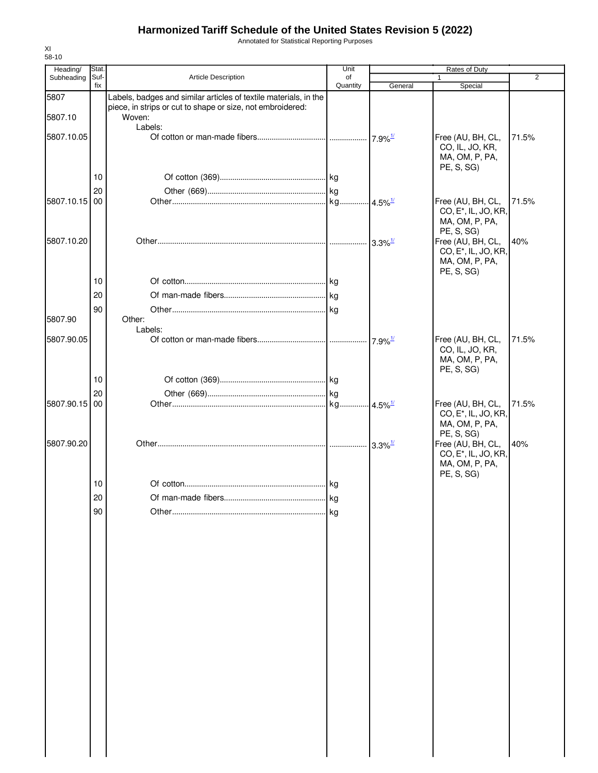Annotated for Statistical Reporting Purposes

| Heading/      | Stat.       |                                                                  | Unit           |                        | <b>Rates of Duty</b>                                  |                |
|---------------|-------------|------------------------------------------------------------------|----------------|------------------------|-------------------------------------------------------|----------------|
| Subheading    | Suf-<br>fix | Article Description                                              | of<br>Quantity | General                | Special                                               | $\overline{2}$ |
| 5807          |             | Labels, badges and similar articles of textile materials, in the |                |                        |                                                       |                |
|               |             | piece, in strips or cut to shape or size, not embroidered:       |                |                        |                                                       |                |
| 5807.10       |             | Woven:                                                           |                |                        |                                                       |                |
| 5807.10.05    |             | Labels:                                                          |                |                        | Free (AU, BH, CL,                                     | 71.5%          |
|               |             |                                                                  |                |                        | CO, IL, JO, KR,                                       |                |
|               |             |                                                                  |                |                        | MA, OM, P, PA,                                        |                |
|               |             |                                                                  |                |                        | PE, S, SG)                                            |                |
|               | 10          |                                                                  |                |                        |                                                       |                |
|               | 20          |                                                                  |                |                        |                                                       |                |
| 5807.10.15 00 |             |                                                                  |                |                        | Free (AU, BH, CL,<br>CO, E <sup>*</sup> , IL, JO, KR, | 71.5%          |
|               |             |                                                                  |                |                        | MA, OM, P, PA,                                        |                |
|               |             |                                                                  |                |                        | PE, S, SG)                                            |                |
| 5807.10.20    |             |                                                                  |                | $-3.3\%$ <sup>1/</sup> | Free (AU, BH, CL,                                     | 40%            |
|               |             |                                                                  |                |                        | CO, E <sup>*</sup> , IL, JO, KR,                      |                |
|               |             |                                                                  |                |                        | MA, OM, P, PA,<br>PE, S, SG)                          |                |
|               | 10          |                                                                  |                |                        |                                                       |                |
|               | 20          |                                                                  |                |                        |                                                       |                |
|               |             |                                                                  |                |                        |                                                       |                |
| 5807.90       | 90          | Other:                                                           |                |                        |                                                       |                |
|               |             | Labels:                                                          |                |                        |                                                       |                |
| 5807.90.05    |             |                                                                  |                |                        | Free (AU, BH, CL,                                     | 71.5%          |
|               |             |                                                                  |                |                        | CO, IL, JO, KR,                                       |                |
|               |             |                                                                  |                |                        | MA, OM, P, PA,                                        |                |
|               | 10          |                                                                  |                |                        | PE, S, SG)                                            |                |
|               | 20          |                                                                  |                |                        |                                                       |                |
| 5807.90.15    | 00          |                                                                  |                |                        | Free (AU, BH, CL,                                     | 71.5%          |
|               |             |                                                                  |                |                        | CO, E <sup>*</sup> , IL, JO, KR,                      |                |
|               |             |                                                                  |                |                        | MA, OM, P, PA,                                        |                |
|               |             |                                                                  |                |                        | PE, S, SG)                                            |                |
| 5807.90.20    |             |                                                                  |                | $3.3\%$ <sup>1/</sup>  | Free (AU, BH, CL,<br>CO, E <sup>*</sup> , IL, JO, KR, | 40%            |
|               |             |                                                                  |                |                        | MA, OM, P, PA,                                        |                |
|               |             |                                                                  |                |                        | PE, S, SG)                                            |                |
|               | 10          |                                                                  |                |                        |                                                       |                |
|               | 20          |                                                                  | <b>k</b> a     |                        |                                                       |                |
|               | 90          |                                                                  | kg             |                        |                                                       |                |
|               |             |                                                                  |                |                        |                                                       |                |
|               |             |                                                                  |                |                        |                                                       |                |
|               |             |                                                                  |                |                        |                                                       |                |
|               |             |                                                                  |                |                        |                                                       |                |
|               |             |                                                                  |                |                        |                                                       |                |
|               |             |                                                                  |                |                        |                                                       |                |
|               |             |                                                                  |                |                        |                                                       |                |
|               |             |                                                                  |                |                        |                                                       |                |
|               |             |                                                                  |                |                        |                                                       |                |
|               |             |                                                                  |                |                        |                                                       |                |
|               |             |                                                                  |                |                        |                                                       |                |
|               |             |                                                                  |                |                        |                                                       |                |
|               |             |                                                                  |                |                        |                                                       |                |
|               |             |                                                                  |                |                        |                                                       |                |
|               |             |                                                                  |                |                        |                                                       |                |
|               |             |                                                                  |                |                        |                                                       |                |
|               |             |                                                                  |                |                        |                                                       |                |
|               |             |                                                                  |                |                        |                                                       |                |
|               |             |                                                                  |                |                        |                                                       |                |
|               |             |                                                                  |                |                        |                                                       |                |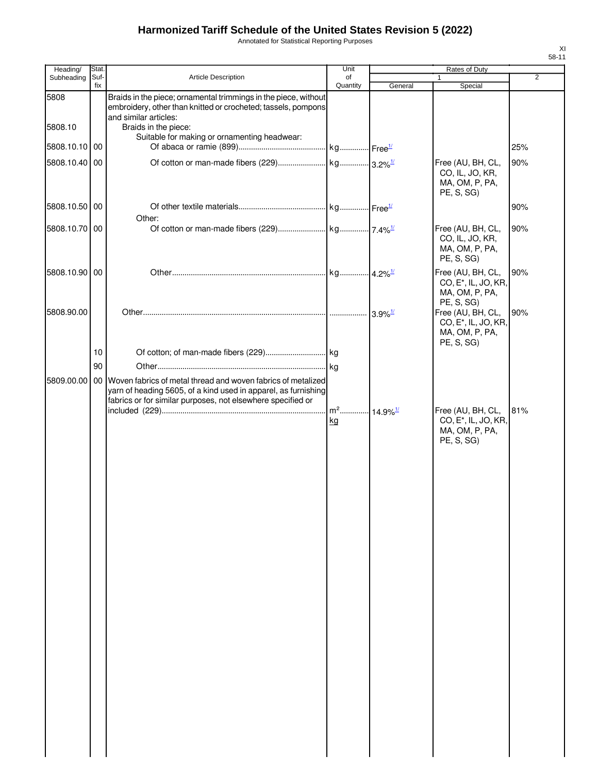Annotated for Statistical Reporting Purposes

| Heading/                 | Stat.       |                                                                                                                                                                                                  | Unit                                     | Rates of Duty |                                                                                       |                |
|--------------------------|-------------|--------------------------------------------------------------------------------------------------------------------------------------------------------------------------------------------------|------------------------------------------|---------------|---------------------------------------------------------------------------------------|----------------|
| Subheading               | Suf-<br>fix | <b>Article Description</b>                                                                                                                                                                       | of<br>Quantity                           | General       | $\mathbf{1}$<br>Special                                                               | $\overline{2}$ |
| 5808                     |             | Braids in the piece; ornamental trimmings in the piece, without<br>embroidery, other than knitted or crocheted; tassels, pompons<br>and similar articles:                                        |                                          |               |                                                                                       |                |
| 5808.10<br>5808.10.10 00 |             | Braids in the piece:<br>Suitable for making or ornamenting headwear:                                                                                                                             |                                          |               |                                                                                       | 25%            |
| 5808.10.40               | 00          |                                                                                                                                                                                                  |                                          |               | Free (AU, BH, CL,<br>CO, IL, JO, KR,<br>MA, OM, P, PA,<br>PE, S, SG)                  | 90%            |
| 5808.10.50 00            |             | Other:                                                                                                                                                                                           |                                          |               |                                                                                       | 90%            |
| 5808.10.70 00            |             |                                                                                                                                                                                                  |                                          |               | Free (AU, BH, CL,<br>CO, IL, JO, KR,<br>MA, OM, P, PA,<br>PE, S, SG)                  | 90%            |
| 5808.10.90 00            |             |                                                                                                                                                                                                  |                                          |               | Free (AU, BH, CL,<br>CO, E <sup>*</sup> , IL, JO, KR,<br>MA, OM, P, PA,<br>PE, S, SG) | 90%            |
| 5808.90.00               |             |                                                                                                                                                                                                  |                                          |               | Free (AU, BH, CL,<br>CO, E <sup>*</sup> , IL, JO, KR,<br>MA, OM, P, PA,               | 90%            |
|                          | 10          |                                                                                                                                                                                                  |                                          |               | PE, S, SG)                                                                            |                |
|                          | 90          |                                                                                                                                                                                                  |                                          |               |                                                                                       |                |
| 5809.00.00               |             | 00 Woven fabrics of metal thread and woven fabrics of metalized<br>yarn of heading 5605, of a kind used in apparel, as furnishing<br>fabrics or for similar purposes, not elsewhere specified or |                                          |               |                                                                                       |                |
|                          |             |                                                                                                                                                                                                  | m <sup>2</sup> 14.9% <sup>1/</sup><br>kg |               | Free (AU, BH, CL,<br>CO, E <sup>*</sup> , IL, JO, KR,<br>MA, OM, P, PA,<br>PE, S, SG) | 81%            |
|                          |             |                                                                                                                                                                                                  |                                          |               |                                                                                       |                |
|                          |             |                                                                                                                                                                                                  |                                          |               |                                                                                       |                |
|                          |             |                                                                                                                                                                                                  |                                          |               |                                                                                       |                |
|                          |             |                                                                                                                                                                                                  |                                          |               |                                                                                       |                |
|                          |             |                                                                                                                                                                                                  |                                          |               |                                                                                       |                |
|                          |             |                                                                                                                                                                                                  |                                          |               |                                                                                       |                |
|                          |             |                                                                                                                                                                                                  |                                          |               |                                                                                       |                |
|                          |             |                                                                                                                                                                                                  |                                          |               |                                                                                       |                |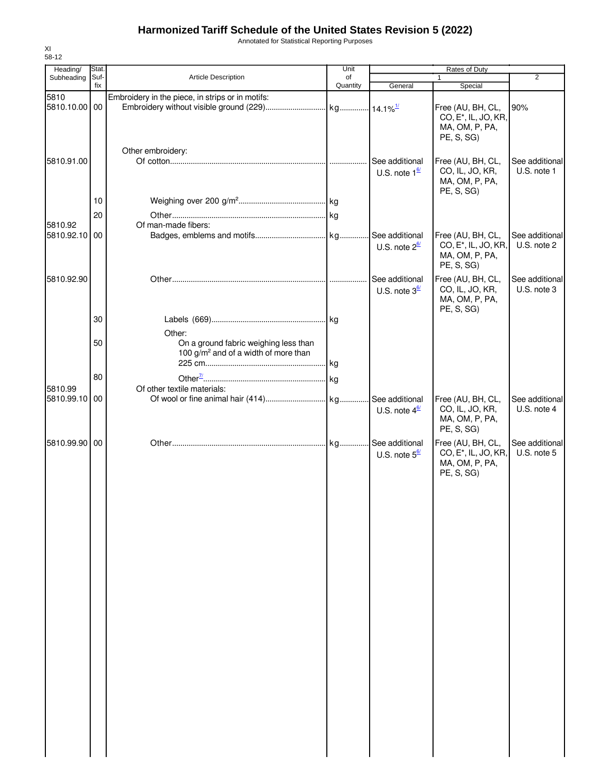Annotated for Statistical Reporting Purposes

| 58-12<br>Heading/ | Stat. |                                                                                                     | Unit     |                                                  | Rates of Duty                                                                         |                               |
|-------------------|-------|-----------------------------------------------------------------------------------------------------|----------|--------------------------------------------------|---------------------------------------------------------------------------------------|-------------------------------|
| Subheading        | Suf-  | <b>Article Description</b>                                                                          | of       |                                                  | 1                                                                                     | $\overline{2}$                |
| 5810              | fix   | Embroidery in the piece, in strips or in motifs:                                                    | Quantity | General                                          | Special                                                                               |                               |
| 5810.10.00 00     |       |                                                                                                     |          |                                                  | Free (AU, BH, CL,<br>CO, E <sup>*</sup> , IL, JO, KR,<br>MA, OM, P, PA,<br>PE, S, SG) | 90%                           |
| 5810.91.00        |       | Other embroidery:                                                                                   |          | See additional<br>U.S. note $1^{\underline{67}}$ | Free (AU, BH, CL,<br>CO, IL, JO, KR,<br>MA, OM, P, PA,<br>PE, S, SG)                  | See additional<br>U.S. note 1 |
|                   | 10    |                                                                                                     |          |                                                  |                                                                                       |                               |
|                   | 20    |                                                                                                     |          |                                                  |                                                                                       |                               |
| 5810.92           |       | Of man-made fibers:                                                                                 |          |                                                  |                                                                                       |                               |
| 5810.92.10        | 00    |                                                                                                     |          | See additional<br>U.S. note $2^{\frac{6}{2}}$    | Free (AU, BH, CL,<br>CO, E <sup>*</sup> , IL, JO, KR,<br>MA, OM, P, PA,<br>PE, S, SG) | See additional<br>U.S. note 2 |
| 5810.92.90        |       |                                                                                                     | .        | See additional<br>U.S. note $3^{\frac{6}{2}}$    | Free (AU, BH, CL,<br>CO, IL, JO, KR,<br>MA, OM, P, PA,<br>PE, S, SG)                  | See additional<br>U.S. note 3 |
|                   | 30    |                                                                                                     |          |                                                  |                                                                                       |                               |
|                   | 50    | Other:<br>On a ground fabric weighing less than<br>100 g/m <sup>2</sup> and of a width of more than | kg       |                                                  |                                                                                       |                               |
|                   | 80    |                                                                                                     |          |                                                  |                                                                                       |                               |
| 5810.99           |       | Of other textile materials:                                                                         | kg       |                                                  |                                                                                       |                               |
| 5810.99.10        | 00    |                                                                                                     |          | See additional<br>U.S. note $4^{\underline{67}}$ | Free (AU, BH, CL,<br>CO, IL, JO, KR,<br>MA, OM, P, PA,<br>PE, S, SG)                  | See additional<br>U.S. note 4 |
| 5810.99.90 00     |       |                                                                                                     | kg       | See additional<br>U.S. note $5^{\frac{6}{2}}$    | Free (AU, BH, CL,<br>CO, E <sup>*</sup> , IL, JO, KR,<br>MA, OM, P, PA,<br>PE, S, SG) | See additional<br>U.S. note 5 |

XI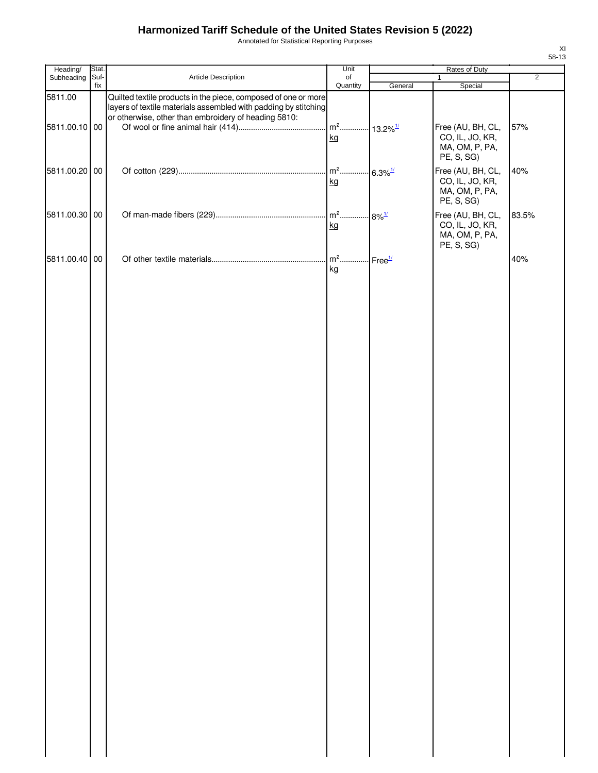Annotated for Statistical Reporting Purposes

| Heading/      | Stat.       |                                                                                                                                                                                           | Unit                   |                         |                                                                      |                |
|---------------|-------------|-------------------------------------------------------------------------------------------------------------------------------------------------------------------------------------------|------------------------|-------------------------|----------------------------------------------------------------------|----------------|
| Subheading    | Suf-<br>fix | Article Description                                                                                                                                                                       | of<br>Quantity         |                         | $\mathbf{1}$                                                         | $\overline{2}$ |
| 5811.00       |             | Quilted textile products in the piece, composed of one or more<br>layers of textile materials assembled with padding by stitching<br>or otherwise, other than embroidery of heading 5810: |                        | General                 | Special                                                              |                |
| 5811.00.10 00 |             |                                                                                                                                                                                           | $m2$<br>kg             | $.13.2\%$ <sup>1/</sup> | Free (AU, BH, CL,<br>CO, IL, JO, KR,<br>MA, OM, P, PA,<br>PE, S, SG) | 57%            |
| 5811.00.20 00 |             |                                                                                                                                                                                           | $\mathsf{m}^2$ .<br>kg | $6.3\%$ <sup>1/</sup>   | Free (AU, BH, CL,<br>CO, IL, JO, KR,<br>MA, OM, P, PA,<br>PE, S, SG) | 40%            |
| 5811.00.30 00 |             |                                                                                                                                                                                           | $m2$<br>kg             | $8\%$ <sup>1/</sup>     | Free (AU, BH, CL,<br>CO, IL, JO, KR,<br>MA, OM, P, PA,<br>PE, S, SG) | 83.5%          |
| 5811.00.40 00 |             |                                                                                                                                                                                           | $m2$ .<br>kg           | Free <sup>1/</sup>      |                                                                      | 40%            |
|               |             |                                                                                                                                                                                           |                        |                         |                                                                      |                |